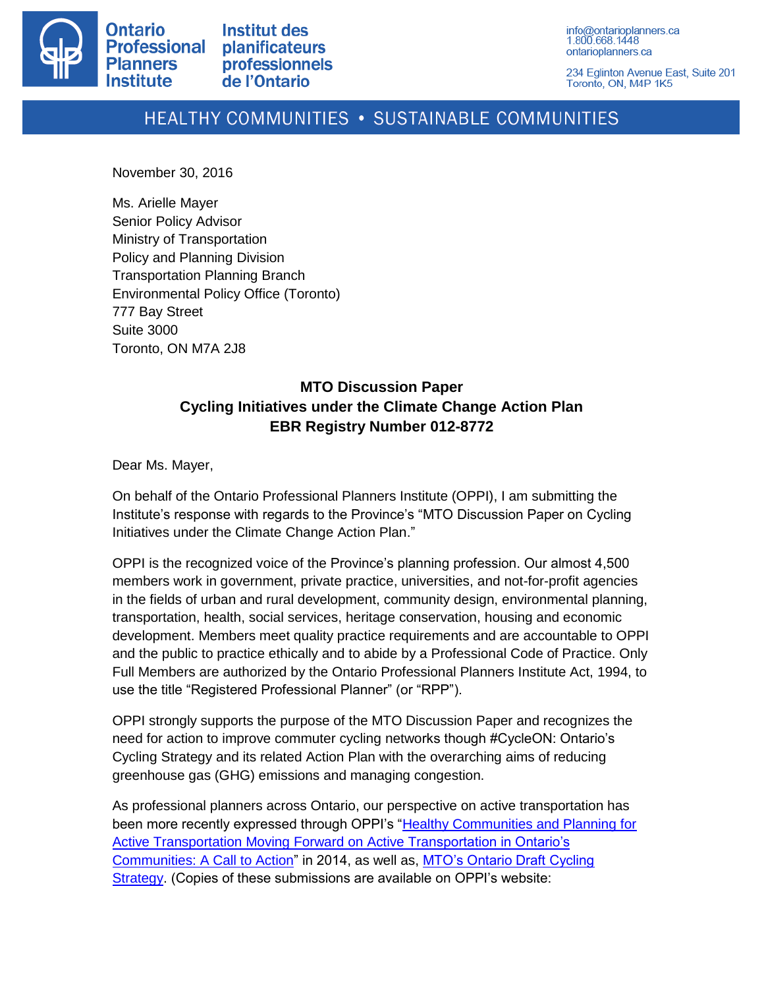

Institut des **planificateurs professionnels** de l'Ontario

info@ontarioplanners.ca 1.800.668.1448 ontarioplanners.ca

234 Eglinton Avenue East, Suite 201 Toronto, ON, M4P 1K5

# HEALTHY COMMUNITIES . SUSTAINABLE COMMUNITIES

November 30, 2016

Ms. Arielle Mayer Senior Policy Advisor Ministry of Transportation Policy and Planning Division Transportation Planning Branch Environmental Policy Office (Toronto) 777 Bay Street Suite 3000 Toronto, ON M7A 2J8

# **MTO Discussion Paper Cycling Initiatives under the Climate Change Action Plan EBR Registry Number 012-8772**

Dear Ms. Mayer,

On behalf of the Ontario Professional Planners Institute (OPPI), I am submitting the Institute's response with regards to the Province's "MTO Discussion Paper on Cycling Initiatives under the Climate Change Action Plan."

OPPI is the recognized voice of the Province's planning profession. Our almost 4,500 members work in government, private practice, universities, and not-for-profit agencies in the fields of urban and rural development, community design, environmental planning, transportation, health, social services, heritage conservation, housing and economic development. Members meet quality practice requirements and are accountable to OPPI and the public to practice ethically and to abide by a Professional Code of Practice. Only Full Members are authorized by the Ontario Professional Planners Institute Act, 1994, to use the title "Registered Professional Planner" (or "RPP").

OPPI strongly supports the purpose of the MTO Discussion Paper and recognizes the need for action to improve commuter cycling networks though #CycleON: Ontario's Cycling Strategy and its related Action Plan with the overarching aims of reducing greenhouse gas (GHG) emissions and managing congestion.

As professional planners across Ontario, our perspective on active transportation has been more recently expressed through OPPI's ["Healthy Communities and Planning for](http://ontarioplanners.ca/PDF/Healthy-Communities/2014/Moving-Forward-on-Active-Transportation-in-Ontario)  [Active Transportation Moving Forward on Active Transportation in Ontario's](http://ontarioplanners.ca/PDF/Healthy-Communities/2014/Moving-Forward-on-Active-Transportation-in-Ontario)  [Communities: A Call to Action"](http://ontarioplanners.ca/PDF/Healthy-Communities/2014/Moving-Forward-on-Active-Transportation-in-Ontario) in 2014, as well as, [MTO's Ontario Draft Cycling](http://ontarioplanners.ca/getattachment/46a10dae-362e-49c7-b5b1-4261b44a504e/Ontario-Ministry-of-Transportation-Draft-Cycling-S.aspx)  [Strategy.](http://ontarioplanners.ca/getattachment/46a10dae-362e-49c7-b5b1-4261b44a504e/Ontario-Ministry-of-Transportation-Draft-Cycling-S.aspx) (Copies of these submissions are available on OPPI's website: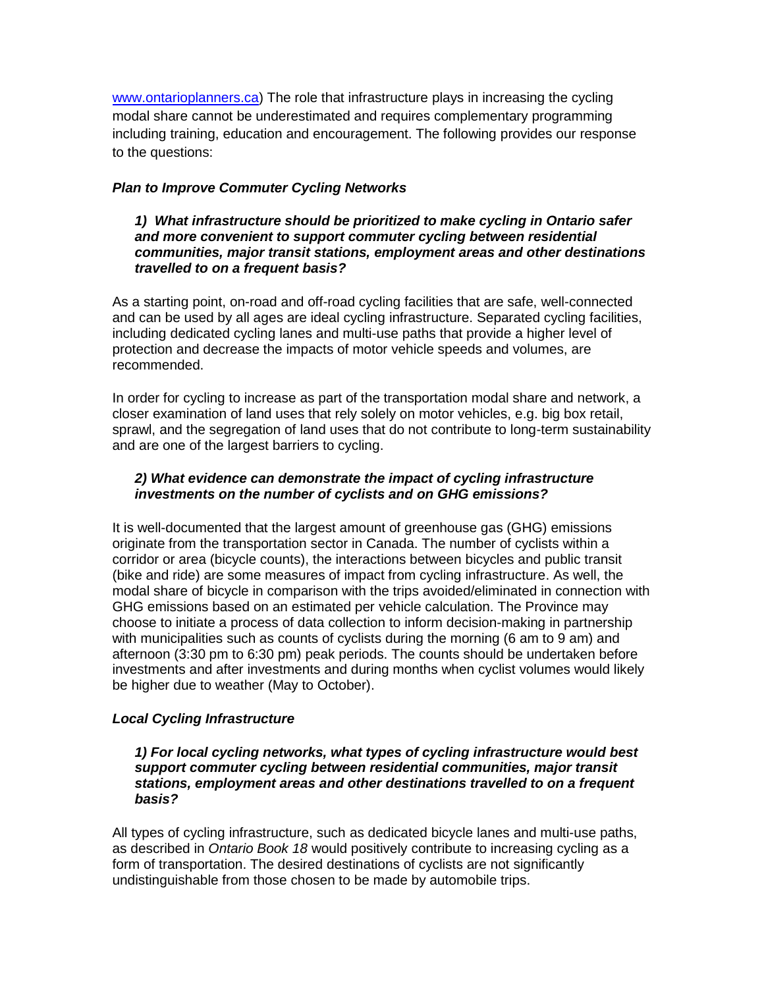[www.ontarioplanners.ca\)](http://www.ontarioplanners.ca/) The role that infrastructure plays in increasing the cycling modal share cannot be underestimated and requires complementary programming including training, education and encouragement. The following provides our response to the questions:

# *Plan to Improve Commuter Cycling Networks*

#### *1) What infrastructure should be prioritized to make cycling in Ontario safer and more convenient to support commuter cycling between residential communities, major transit stations, employment areas and other destinations travelled to on a frequent basis?*

As a starting point, on-road and off-road cycling facilities that are safe, well-connected and can be used by all ages are ideal cycling infrastructure. Separated cycling facilities, including dedicated cycling lanes and multi-use paths that provide a higher level of protection and decrease the impacts of motor vehicle speeds and volumes, are recommended.

In order for cycling to increase as part of the transportation modal share and network, a closer examination of land uses that rely solely on motor vehicles, e.g. big box retail, sprawl, and the segregation of land uses that do not contribute to long-term sustainability and are one of the largest barriers to cycling.

# *2) What evidence can demonstrate the impact of cycling infrastructure investments on the number of cyclists and on GHG emissions?*

It is well-documented that the largest amount of greenhouse gas (GHG) emissions originate from the transportation sector in Canada. The number of cyclists within a corridor or area (bicycle counts), the interactions between bicycles and public transit (bike and ride) are some measures of impact from cycling infrastructure. As well, the modal share of bicycle in comparison with the trips avoided/eliminated in connection with GHG emissions based on an estimated per vehicle calculation. The Province may choose to initiate a process of data collection to inform decision-making in partnership with municipalities such as counts of cyclists during the morning (6 am to 9 am) and afternoon (3:30 pm to 6:30 pm) peak periods. The counts should be undertaken before investments and after investments and during months when cyclist volumes would likely be higher due to weather (May to October).

### *Local Cycling Infrastructure*

*1) For local cycling networks, what types of cycling infrastructure would best support commuter cycling between residential communities, major transit stations, employment areas and other destinations travelled to on a frequent basis?* 

All types of cycling infrastructure, such as dedicated bicycle lanes and multi-use paths, as described in *Ontario Book 18* would positively contribute to increasing cycling as a form of transportation. The desired destinations of cyclists are not significantly undistinguishable from those chosen to be made by automobile trips.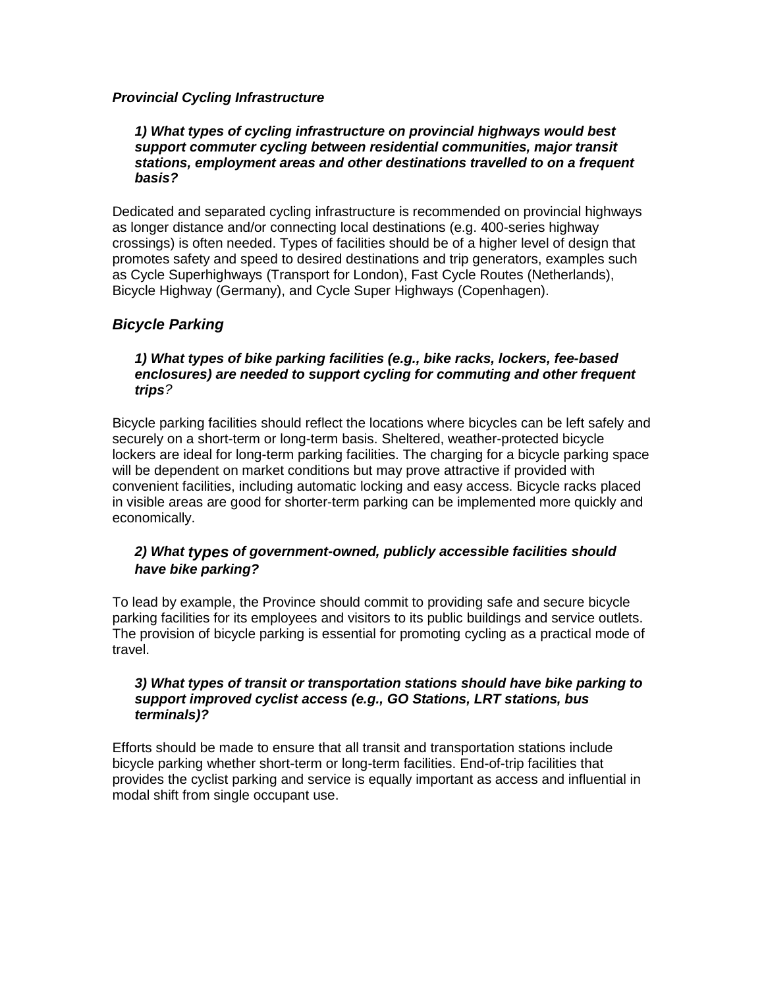# *Provincial Cycling Infrastructure*

#### *1) What types of cycling infrastructure on provincial highways would best support commuter cycling between residential communities, major transit stations, employment areas and other destinations travelled to on a frequent basis?*

Dedicated and separated cycling infrastructure is recommended on provincial highways as longer distance and/or connecting local destinations (e.g. 400-series highway crossings) is often needed. Types of facilities should be of a higher level of design that promotes safety and speed to desired destinations and trip generators, examples such as Cycle Superhighways (Transport for London), Fast Cycle Routes (Netherlands), Bicycle Highway (Germany), and Cycle Super Highways (Copenhagen).

# *Bicycle Parking*

#### *1) What types of bike parking facilities (e.g., bike racks, lockers, fee-based enclosures) are needed to support cycling for commuting and other frequent trips?*

Bicycle parking facilities should reflect the locations where bicycles can be left safely and securely on a short-term or long-term basis. Sheltered, weather-protected bicycle lockers are ideal for long-term parking facilities. The charging for a bicycle parking space will be dependent on market conditions but may prove attractive if provided with convenient facilities, including automatic locking and easy access. Bicycle racks placed in visible areas are good for shorter-term parking can be implemented more quickly and economically.

# *2) What types of government-owned, publicly accessible facilities should have bike parking?*

To lead by example, the Province should commit to providing safe and secure bicycle parking facilities for its employees and visitors to its public buildings and service outlets. The provision of bicycle parking is essential for promoting cycling as a practical mode of travel.

#### *3) What types of transit or transportation stations should have bike parking to support improved cyclist access (e.g., GO Stations, LRT stations, bus terminals)?*

Efforts should be made to ensure that all transit and transportation stations include bicycle parking whether short-term or long-term facilities. End-of-trip facilities that provides the cyclist parking and service is equally important as access and influential in modal shift from single occupant use.